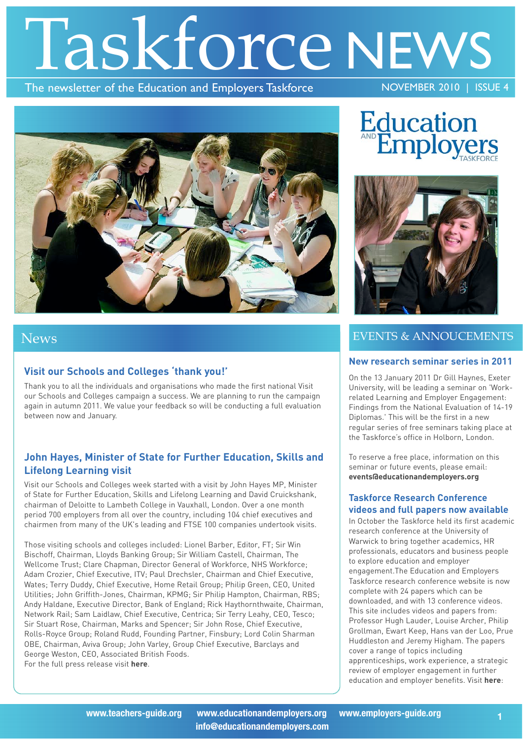# Taskforce NEWS

The newsletter of the Education and Employers Taskforce



#### **News**

#### **Visit our Schools and Colleges 'thank you!'**

Thank you to all the individuals and organisations who made the first national Visit our Schools and Colleges campaign a success. We are planning to run the campaign again in autumn 2011. We value your feedback so will be conducting a full evaluation between now and January.

#### **John Hayes, Minister of State for Further Education, Skills and Lifelong Learning visit**

Visit our Schools and Colleges week started with a visit by John Hayes MP, Minister of State for Further Education, Skills and Lifelong Learning and David Cruickshank, chairman of Deloitte to Lambeth College in Vauxhall, London. Over a one month period 700 employers from all over the country, including 104 chief executives and chairmen from many of the UK's leading and FTSE 100 companies undertook visits.

Those visiting schools and colleges included: Lionel Barber, Editor, FT; Sir Win Bischoff, Chairman, Lloyds Banking Group; Sir William Castell, Chairman, The Wellcome Trust; Clare Chapman, Director General of Workforce, NHS Workforce; Adam Crozier, Chief Executive, ITV; Paul Drechsler, Chairman and Chief Executive, Wates; Terry Duddy, Chief Executive, Home Retail Group; Philip Green, CEO, United Utilities; John Griffith-Jones, Chairman, KPMG; Sir Philip Hampton, Chairman, RBS; Andy Haldane, Executive Director, Bank of England; Rick Haythornthwaite, Chairman, Network Rail; Sam Laidlaw, Chief Executive, Centrica; Sir Terry Leahy, CEO, Tesco; Sir Stuart Rose, Chairman, Marks and Spencer; Sir John Rose, Chief Executive, Rolls-Royce Group; Roland Rudd, Founding Partner, Finsbury; Lord Colin Sharman OBE, Chairman, Aviva Group; John Varley, Group Chief Executive, Barclays and George Weston, CEO, Associated British Foods. For the full press release visit **[here](http://www.educationandemployers.org/media/7886/media%20release%2018%20october%202010.pdf)**.

#### NOVEMBER 2010 | ISSUE 4

## **Education**<br>Employers



#### EVENTS & ANNOUCEMENTS

#### **New research seminar series in 2011**

On the 13 January 2011 Dr Gill Haynes, Exeter University, will be leading a seminar on 'Workrelated Learning and Employer Engagement: Findings from the National Evaluation of 14-19 Diplomas.' This will be the first in a new regular series of free seminars taking place at the Taskforce's office in Holborn, London.

To reserve a free place, information on this seminar or future events, please email: **[events@educationandemployers.org](mailto:events@educationandemployers.org)**

#### **Taskforce Research Conference videos and full papers now available**

In October the Taskforce held its first academic research conference at the University of Warwick to bring together academics, HR professionals, educators and business people to explore education and employer engagement.The Education and Employers Taskforce research conference website is now complete with 24 papers which can be downloaded, and with 13 conference videos. This site includes videos and papers from: Professor Hugh Lauder, Louise Archer, Philip Grollman, Ewart Keep, Hans van der Loo, Prue Huddleston and Jeremy Higham. The papers cover a range of topics including apprenticeships, work experience, a strategic review of employer engagement in further education and employer benefits. Visit **[here](http://www.educationandemployers.org/research/taskforce-research-conference-2010)**: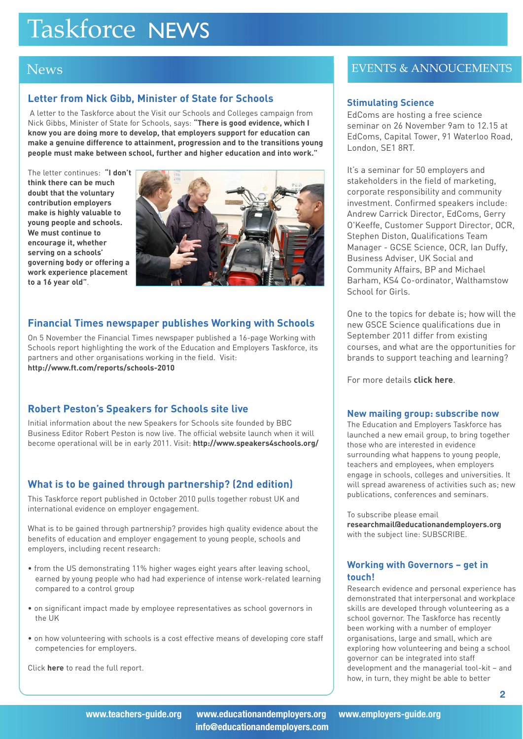## Taskforce NEWS

#### News

#### **Letter from Nick Gibb, Minister of State for Schools**

A letter to the Taskforce about the Visit our Schools and Colleges campaign from Nick Gibbs, Minister of State for Schools, says: **"There is good evidence, which I know you are doing more to develop, that employers support for education can make a genuine difference to attainment, progression and to the transitions young people must make between school, further and higher education and into work."**

The letter continues: **"I don't think there can be much doubt that the voluntary contribution employers make is highly valuable to young people and schools. We must continue to encourage it, whether serving on a schools' governing body or offering a work experience placement to a 16 year old"**.



#### **Financial Times newspaper publishes Working with Schools**

On 5 November the Financial Times newspaper published a 16-page Working with Schools report highlighting the work of the Education and Employers Taskforce, its partners and other organisations working in the field. Visit: **<http://www.ft.com/reports/schools-2010>**

#### **Robert Peston's Speakers for Schools site live**

Initial information about the new Speakers for Schools site founded by BBC Business Editor Robert Peston is now live. The official website launch when it will become operational will be in early 2011. Visit: **[http://www.speakers4schools.org/](http://www.speakers4schools.org)**

#### **What is to be gained through partnership? (2nd edition)**

This Taskforce report published in October 2010 pulls together robust UK and international evidence on employer engagement.

What is to be gained through partnership? provides high quality evidence about the benefits of education and employer engagement to young people, schools and employers, including recent research:

- from the US demonstrating 11% higher wages eight years after leaving school, earned by young people who had had experience of intense work-related learning compared to a control group
- on significant impact made by employee representatives as school governors in the UK
- on how volunteering with schools is a cost effective means of developing core staff competencies for employers.

Click **[here](http://www.educationandemployers.org/media/8065/eet05%20what%20is%20to%20be%20gained%20through%20partnership%20october%202010.pdf)** to read the full report.

#### EVENTS & ANNOUCEMENTS

#### **Stimulating Science**

EdComs are hosting a free science seminar on 26 November 9am to 12.15 at EdComs, Capital Tower, 91 Waterloo Road, London, SE1 8RT.

It's a seminar for 50 employers and stakeholders in the field of marketing, corporate responsibility and community investment. Confirmed speakers include: Andrew Carrick Director, EdComs, Gerry O'Keeffe, Customer Support Director, OCR, Stephen Diston, Qualifications Team Manager - GCSE Science, OCR, Ian Duffy, Business Adviser, UK Social and Community Affairs, BP and Michael Barham, KS4 Co-ordinator, Walthamstow School for Girls.

One to the topics for debate is; how will the new GSCE Science qualifications due in September 2011 differ from existing courses, and what are the opportunities for brands to support teaching and learning?

For more details **[click here](http://www.edcoms.com/news-and-events)**.

#### **New mailing group: subscribe now**

The Education and Employers Taskforce has launched a new email group, to bring together those who are interested in evidence surrounding what happens to young people, teachers and employees, when employers engage in schools, colleges and universities. It will spread awareness of activities such as; new publications, conferences and seminars.

To subscribe please email **[researchmail@educationandemployers.org](mailto:researchmail@educationandemployers.org)** with the subject line: SUBSCRIBE.

#### **Working with Governors – get in touch!**

Research evidence and personal experience has demonstrated that interpersonal and workplace skills are developed through volunteering as a school governor. The Taskforce has recently been working with a number of employer organisations, large and small, which are exploring how volunteering and being a school governor can be integrated into staff development and the managerial tool-kit – and how, in turn, they might be able to better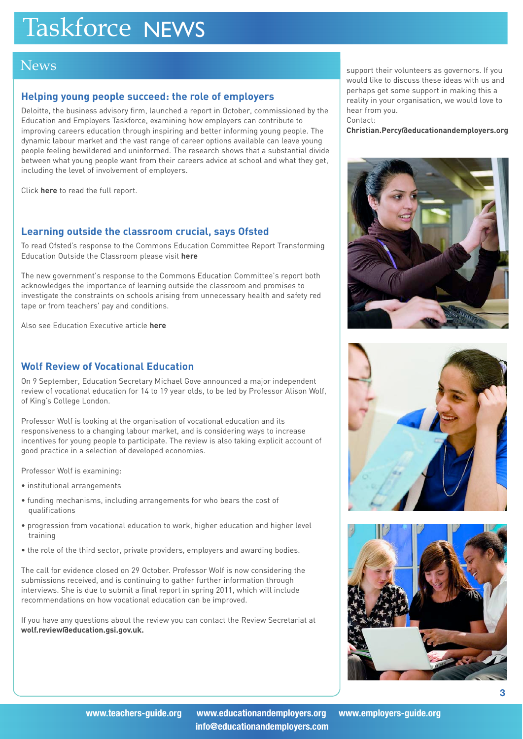## Taskforce NEWS

#### **News**

#### **Helping young people succeed: the role of employers**

Deloitte, the business advisory firm, launched a report in October, commissioned by the Education and Employers Taskforce, examining how employers can contribute to improving careers education through inspiring and better informing young people. The dynamic labour market and the vast range of career options available can leave young people feeling bewildered and uninformed. The research shows that a substantial divide between what young people want from their careers advice at school and what they get, including the level of involvement of employers.

Click **[here](http://www.educationandemployers.org/media/7630/deloitte%20eet%20young%20people%20succeed%20report%20final.pdf)** to read the full report.

#### **Learning outside the classroom crucial, says Ofsted**

To read Ofsted's response to the Commons Education Committee Report Transforming Education Outside the Classroom please visit **[here](http://www.publications.parliament.uk/pa/cm201011/cmselect/cmeduc/525/52504.htm)**

The new government's response to the Commons Education Committee's report both acknowledges the importance of learning outside the classroom and promises to investigate the constraints on schools arising from unnecessary health and safety red tape or from teachers' pay and conditions.

Also see Education Executive article **[here](http://www.edexec.co.uk/news/1387/think-outside-the-box/)**

#### **Wolf Review of Vocational Education**

On 9 September, Education Secretary Michael Gove announced a major independent review of vocational education for 14 to 19 year olds, to be led by Professor Alison Wolf, of King's College London.

Professor Wolf is looking at the organisation of vocational education and its responsiveness to a changing labour market, and is considering ways to increase incentives for young people to participate. The review is also taking explicit account of good practice in a selection of developed economies.

Professor Wolf is examining:

- institutional arrangements
- funding mechanisms, including arrangements for who bears the cost of qualifications
- progression from vocational education to work, higher education and higher level training
- the role of the third sector, private providers, employers and awarding bodies.

The call for evidence closed on 29 October. Professor Wolf is now considering the submissions received, and is continuing to gather further information through interviews. She is due to submit a final report in spring 2011, which will include recommendations on how vocational education can be improved.

If you have any questions about the review you can contact the Review Secretariat at **[wolf.review@education.gsi.gov.uk.](mailto:review@education.gsi.gov.uk)**

support their volunteers as governors. If you would like to discuss these ideas with us and perhaps get some support in making this a reality in your organisation, we would love to hear from you. Contact:

**Christian.[Percy@educationandemployers.org](mailto:Percy@educationandemployers.org)**





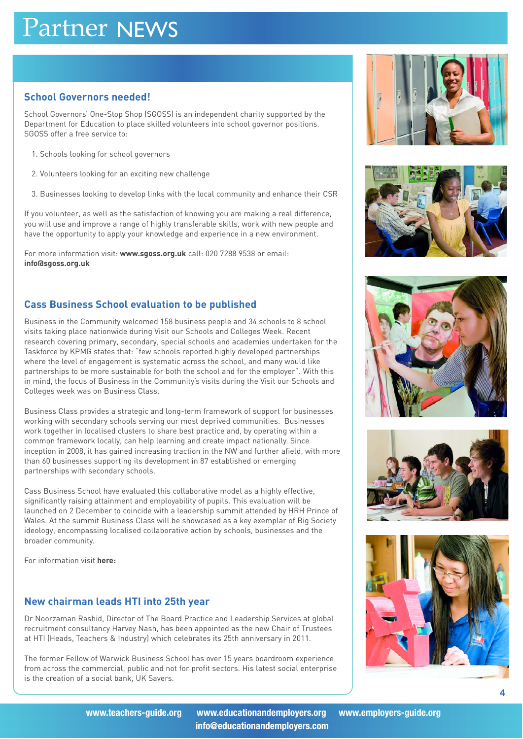## Partner NEWS

#### **School Governors needed!**

School Governors' One-Stop Shop (SGOSS) is an independent charity supported by the Department for Education to place skilled volunteers into school governor positions. SGOSS offer a free service to:

- 1. Schools looking for school governors
- 2. Volunteers looking for an exciting new challenge
- 3. Businesses looking to develop links with the local community and enhance their CSR

If you volunteer, as well as the satisfaction of knowing you are making a real difference, you will use and improve a range of highly transferable skills, work with new people and have the opportunity to apply your knowledge and experience in a new environment.

For more information visit: **[www.sgoss.org.uk](http://www.sgoss.org.uk)** call: 020 7288 9538 or email: **[info@sgoss.org.uk](mailto:info@sgoss.org.uk)**

#### **Cass Business School evaluation to be published**

Business in the Community welcomed 158 business people and 34 schools to 8 school visits taking place nationwide during Visit our Schools and Colleges Week. Recent research covering primary, secondary, special schools and academies undertaken for the Taskforce by KPMG states that: "few schools reported highly developed partnerships where the level of engagement is systematic across the school, and many would like partnerships to be more sustainable for both the school and for the employer". With this in mind, the focus of Business in the Community's visits during the Visit our Schools and Colleges week was on Business Class.

Business Class provides a strategic and long-term framework of support for businesses working with secondary schools serving our most deprived communities. Businesses work together in localised clusters to share best practice and, by operating within a common framework locally, can help learning and create impact nationally. Since inception in 2008, it has gained increasing traction in the NW and further afield, with more than 60 businesses supporting its development in 87 established or emerging partnerships with secondary schools.

Cass Business School have evaluated this collaborative model as a highly effective, significantly raising attainment and employability of pupils. This evaluation will be launched on 2 December to coincide with a leadership summit attended by HRH Prince of Wales. At the summit Business Class will be showcased as a key exemplar of Big Society ideology, encompassing localised collaborative action by schools, businesses and the broader community.

For information visit **[here:](http://www.bitc.org.uk/workplace/education/what_is_business.html)** 

#### **New chairman leads HTI into 25th year**

Dr Noorzaman Rashid, Director of The Board Practice and Leadership Services at global recruitment consultancy Harvey Nash, has been appointed as the new Chair of Trustees at HTI (Heads, Teachers & Industry) which celebrates its 25th anniversary in 2011.

The former Fellow of Warwick Business School has over 15 years boardroom experience from across the commercial, public and not for profit sectors. His latest social enterprise is the creation of a social bank, UK Savers.